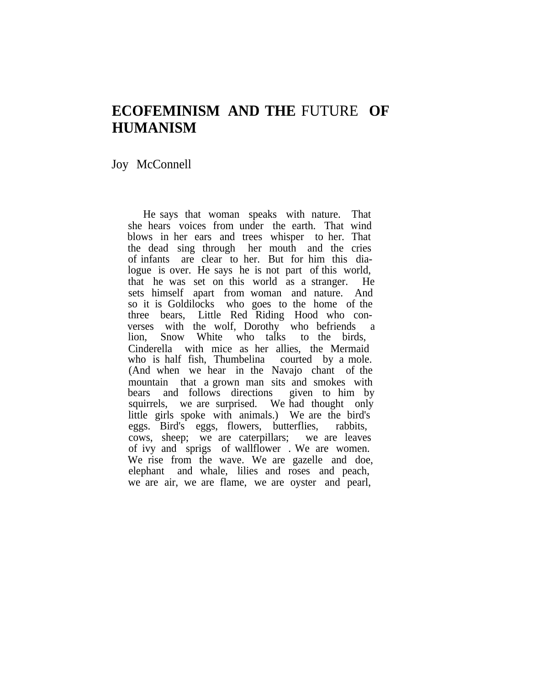# **ECOFEMINISM AND THE** FUTURE **OF HUMANISM**

## Joy McConnell

He says that woman speaks with nature. That she hears voices from under the earth. That wind blows in her ears and trees whisper to her. That the dead sing through her mouth and the cries of infants are clear to her. But for him this dialogue is over. He says he is not part of this world, that he was set on this world as a stranger. He sets himself apart from woman and nature. And so it is Goldilocks who goes to the home of the three bears, Little Red Riding Hood who converses with the wolf, Dorothy who befriends a lion, Snow White who talks to the birds, Cinderella with mice as her allies, the Mermaid who is half fish, Thumbelina courted by a mole. (And when we hear in the Navajo chant of the mountain that a grown man sits and smokes with bears and follows directions given to him by squirrels, we are surprised. We had thought only little girls spoke with animals.) We are the bird's eggs. Bird's eggs, flowers, butterflies, rabbits, cows, sheep; we are caterpillars; we are leaves of ivy and sprigs of wallflower . We are women. We rise from the wave. We are gazelle and doe, elephant and whale, lilies and roses and peach, we are air, we are flame, we are oyster and pearl,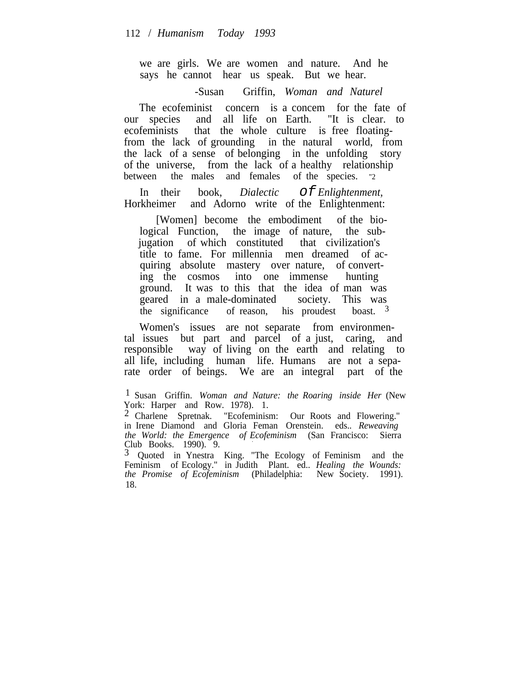we are girls. We are women and nature. And he says he cannot hear us speak. But we hear.

-Susan Griffin, *Woman and Naturel*

The ecofeminist concern is a concem for the fate of our species and all life on Earth. "It is clear. to ecofeminists that the whole culture is free floatingfrom the lack of grounding in the natural world, from the lack of a sense of belonging in the unfolding story of the universe, from the lack of a healthy relationship between the males and females of the species. "2

In their book, *Dialectic* Of *Enlightenment*,<br>Horkheimer and Adorno write of the Enlightenment: and Adorno write of the Enlightenment:

[Women] become the embodiment of the biological Function, the image of nature, the subjugation of which constituted that civilization's title to fame. For millennia men dreamed of acquiring absolute mastery over nature, of converting the cosmos into one immense hunting ground. It was to this that the idea of man was geared in a male-dominated society. This was the significance of reason, his proudest boast.  $3\overline{ }$ 

Women's issues are not separate from environmental issues but part and parcel of a just, caring, and responsible way of living on the earth and relating to all life, including human life. Humans are not a separate order of beings. We are an integral part of the

3 Quoted in Ynestra King. "The Ecology of Feminism and the Feminism of Ecology." in Judith Plant. ed.. *Healing the Wounds: the Promise of Ecofeminism* (Philadelphia: New Society. 1991). 18.

<sup>1</sup> Susan Griffin. *Woman and Nature: the Roaring inside Her* (New York: Harper and Row. 1978). 1.

<sup>2</sup> Charlene Spretnak. "Ecofeminism: Our Roots and Flowering." in Irene Diamond and Gloria Feman Orenstein. eds.. *Reweaving the World: the Emergence of Ecofeminism* (San Francisco: Sierra Club Books. 1990). 9.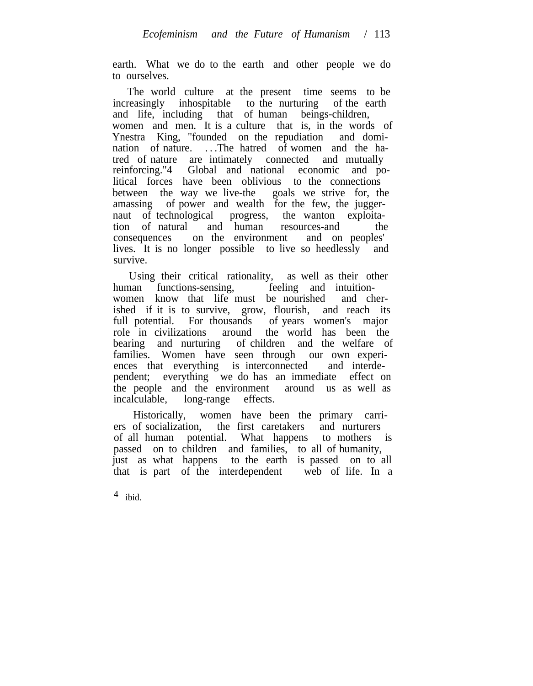earth. What we do to the earth and other people we do to ourselves.

The world culture at the present time seems to be increasingly inhospitable to the nurturing of the earth and life, including that of human beings-children, women and men. It is a culture that is, in the words of Ynestra King, "founded on the repudiation and domination of nature. . . .The hatred of women and the hatred of nature are intimately connected and mutually reinforcing."4 Global and national economic and political forces have been oblivious to the connections between the way we live-the goals we strive for, the amassing of power and wealth for the few, the juggernaut of technological progress, the wanton exploitation of natural and human resources-and the consequences on the environment and on peoples' consequences on the environment lives. It is no longer possible to live so heedlessly and survive.

Using their critical rationality, as well as their other human functions-sensing, feeling and intuitionwomen know that life must be nourished and cherished if it is to survive, grow, flourish, and reach its full potential. For thousands of years women's major role in civilizations around the world has been the bearing and nurturing of children and the welfare of families. Women have seen through our own experiences that everything is interconnected and interdependent; everything we do has an immediate effect on the people and the environment around us as well as incalculable, long-range effects.

Historically, women have been the primary carriers of socialization, the first caretakers and nurturers of all human potential. What happens to mothers is passed on to children and families, to all of humanity, just as what happens to the earth is passed on to all that is part of the interdependent web of life. In a

4 ibid.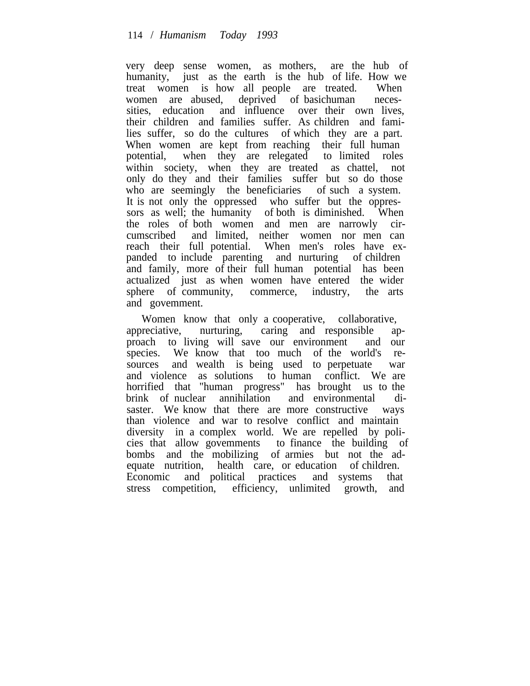very deep sense women, as mothers, are the hub of humanity, just as the earth is the hub of life. How we treat women is how all people are treated. When women are abused, deprived of basichuman necessities, education and influence over their own lives, their children and families suffer. As children and families suffer, so do the cultures of which they are a part. When women are kept from reaching their full human potential, when they are relegated to limited roles within society, when they are treated as chattel, not only do they and their families suffer but so do those who are seemingly the beneficiaries of such a system. It is not only the oppressed who suffer but the oppressors as well; the humanity of both is diminished. When the roles of both women and men are narrowly circumscribed and limited, neither women nor men can reach their full potential. When men's roles have expanded to include parenting and nurturing of children and family, more of their full human potential has been actualized just as when women have entered the wider sphere of community, commerce, industry, the arts and govemment.

Women know that only a cooperative, collaborative, appreciative, nurturing, caring and responsible approach to living will save our environment and our species. We know that too much of the world's resources and wealth is being used to perpetuate war and violence as solutions to human conflict. We are horrified that "human progress" has brought us to the brink of nuclear annihilation and environmental disaster. We know that there are more constructive ways than violence and war to resolve conflict and maintain diversity in a complex world. We are repelled by policies that allow govemments to finance the building of bombs and the mobilizing of armies but not the adequate nutrition, health care, or education of children. Economic and political practices and systems that stress competition, efficiency, unlimited growth, and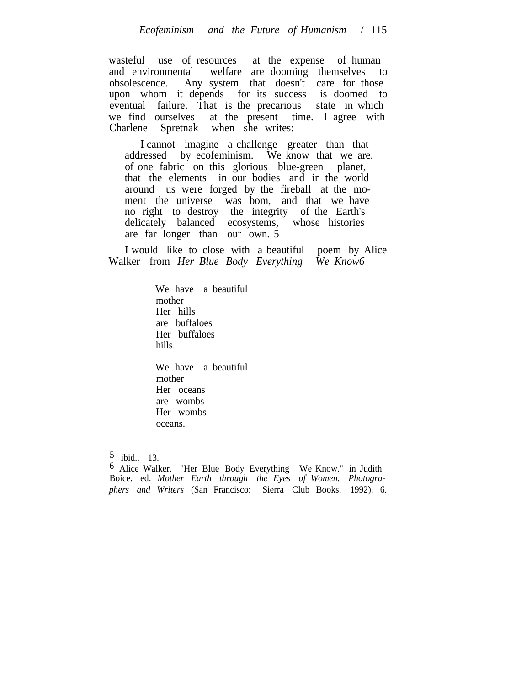wasteful use of resources at the expense of human and environmental welfare are dooming themselves to obsolescence. Any system that doesn't care for those upon whom it depends for its success is doomed to eventual failure. That is the precarious state in which we find ourselves at the present time. I agree with Charlene Spretnak when she writes:

I cannot imagine a challenge greater than that addressed by ecofeminism. We know that we are. of one fabric on this glorious blue-green planet, that the elements in our bodies and in the world around us were forged by the fireball at the moment the universe was bom, and that we have no right to destroy the integrity of the Earth's delicately balanced ecosystems, whose histories are far longer than our own. 5

I would like to close with a beautiful poem by Alice Walker from *Her Blue Body Everything We Know6*

> We have a beautiful mother Her hills are buffaloes Her buffaloes hills.

> We have a beautiful mother Her oceans are wombs Her wombs oceans.

 $5$  ibid.. 13.

6 Alice Walker. "Her Blue Body Everything We Know." in Judith Boice. ed. *Mother Earth through the Eyes of Women. Photographers and Writers* (San Francisco: Sierra Club Books. 1992). 6.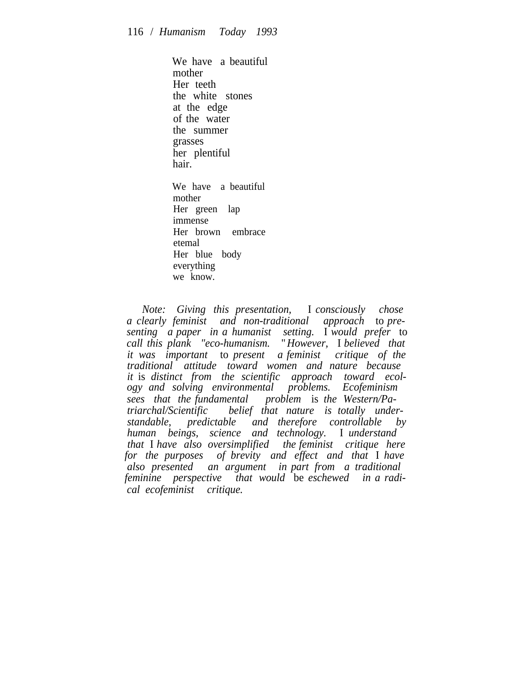We have a beautiful mother Her teeth the white stones at the edge of the water the summer grasses her plentiful hair. We have a beautiful mother Her green lap immense Her brown embrace etemal

Her blue body everything we know.

*Note: Giving this presentation,* I *consciously chose a clearly feminist and non-traditional approach* to *presenting a paper in a humanist setting.* I *would prefer* to *call this plank "eco-humanism.* "*However,* I *believed that it was important* to *present a feminist critique of the traditional attitude toward women and nature because it* is *distinct from the scientific approach toward ecology and solving environmental problems. Ecofeminism sees that the fundamental problem* is *the Western/Patriarchal/Scientific belief that nature is totally understandable, predictable and therefore controllable by human beings, science and technology.* I *understand that* I *have also oversimplified the feminist critique here for the purposes of brevity and effect and that* I *have also presented an argument in part from a traditional feminine perspective that would* be *eschewed in a radical ecofeminist critique.*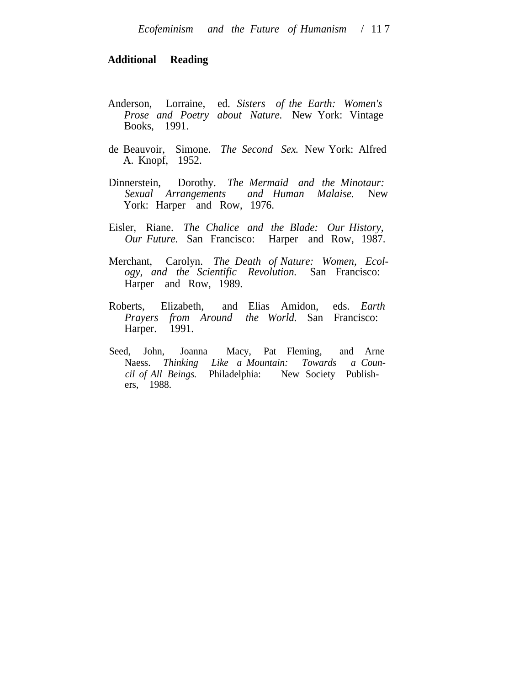#### **Additional Reading**

- Anderson, Lorraine, ed. *Sisters of the Earth: Women's Prose and Poetry about Nature.* New York: Vintage Books, 1991.
- de Beauvoir, Simone. *The Second Sex.* New York: Alfred A. Knopf, 1952.
- Dinnerstein, Dorothy. *The Mermaid and the Minotaur: Sexual Arrangements and Human Malaise.* York: Harper and Row, 1976.
- Eisler, Riane. *The Chalice and the Blade: Our History, Our Future.* San Francisco: Harper and Row, 1987.
- Merchant, Carolyn. *The Death of Nature: Women, Ecology, and the Scientific Revolution.* San Francisco: Harper and Row, 1989.
- Roberts, Elizabeth, and Elias Amidon, eds. *Earth Prayers from Around the World.* San Francisco: Harper. <sup>1991</sup>.
- Seed, John, Joanna Macy, Pat Fleming, and Arne Naess. *Thinking Like a Mountain: Towards a Council of All Beings.* Philadelphia: New Society Publishers, 1988.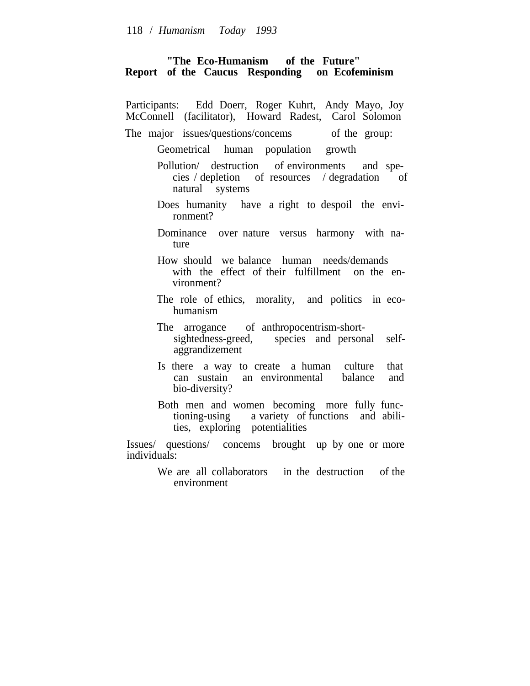#### **"The Eco-Humanism of the Future" Report of the Caucus Responding on Ecofeminism**

| Participants: Edd Doerr, Roger Kuhrt, Andy Mayo, Joy<br>McConnell (facilitator), Howard Radest, Carol Solomon                     |
|-----------------------------------------------------------------------------------------------------------------------------------|
| The major issues/questions/concems of the group:                                                                                  |
| Geometrical human population growth                                                                                               |
| Pollution/ destruction of environments and spe-<br>cies / depletion of resources / degradation<br>οf<br>natural systems           |
| Does humanity have a right to despoil the envi-<br>ronment?                                                                       |
| Dominance over nature versus harmony with na-<br>ture                                                                             |
| How should we balance human needs/demands<br>with the effect of their fulfillment on the en-<br>vironment?                        |
| The role of ethics, morality, and politics in eco-<br>humanism                                                                    |
| The arrogance of anthropocentrism-short-<br>sightedness-greed, species and personal self-<br>aggrandizement                       |
| Is there a way to create a human culture<br>that<br>can sustain an environmental balance<br>and<br>bio-diversity?                 |
| Both men and women becoming more fully func-<br>tioning-using a variety of functions and abili-<br>ties, exploring potentialities |
| Issues/ questions/ concems brought up by one or more<br>individuals:                                                              |
| We are all collaborators in the destruction of the<br>environment                                                                 |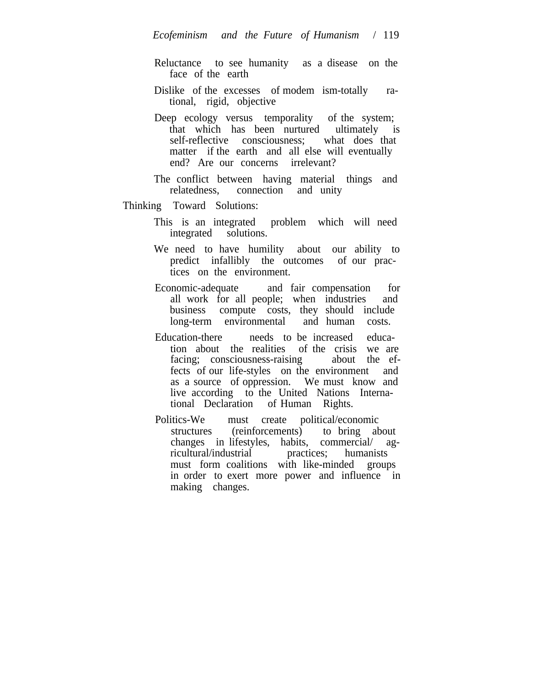- Reluctance to see humanity as a disease on the face of the earth
- Dislike of the excesses of modem ism-totally rational, rigid, objective
- Deep ecology versus temporality of the system; that which has been nurtured ultimately is self-reflective consciousness; what does that matter if the earth and all else will eventually end? Are our concerns irrelevant?
- The conflict between having material things and relatedness, connection and unity

### Thinking Toward Solutions:

- This is an integrated problem which will need integrated solutions.
- We need to have humility about our ability to predict infallibly the outcomes of our practices on the environment.
- Economic-adequate and fair compensation for all work for all people; when industries and business compute costs, they should include long-term environmental and human costs.
- Education-there needs to be increased education about the realities of the crisis we are facing; consciousness-raising about the effacing; consciousness-raising fects of our life-styles on the environment and as a source of oppression. We must know and live according to the United Nations International Declaration of Human Rights.
- Politics-We must create political/economic structures (reinforcements) to bring about changes in lifestyles, habits, commercial/ agricultural/industrial practices; humanists must form coalitions with like-minded groups in order to exert more power and influence in making changes.